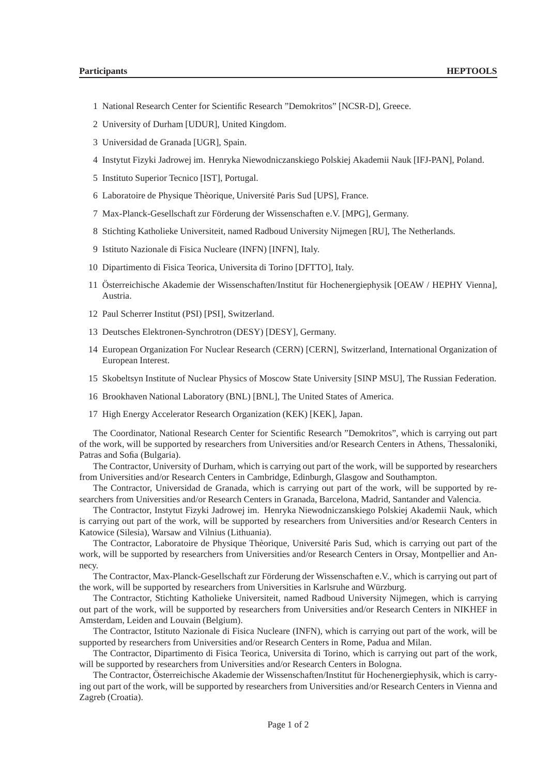- 1 National Research Center for Scientific Research "Demokritos" [NCSR-D], Greece.
- 2 University of Durham [UDUR], United Kingdom.
- 3 Universidad de Granada [UGR], Spain.
- 4 Instytut Fizyki Jadrowej im. Henryka Niewodniczanskiego Polskiej Akademii Nauk [IFJ-PAN], Poland.
- 5 Instituto Superior Tecnico [IST], Portugal.
- 6 Laboratoire de Physique Thèorique, Université Paris Sud [UPS], France.
- 7 Max-Planck-Gesellschaft zur Förderung der Wissenschaften e.V. [MPG], Germany.
- 8 Stichting Katholieke Universiteit, named Radboud University Nijmegen [RU], The Netherlands.
- 9 Istituto Nazionale di Fisica Nucleare (INFN) [INFN], Italy.
- 10 Dipartimento di Fisica Teorica, Universita di Torino [DFTTO], Italy.
- 11 Österreichische Akademie der Wissenschaften/Institut für Hochenergiephysik [OEAW / HEPHY Vienna], Austria.
- 12 Paul Scherrer Institut (PSI) [PSI], Switzerland.
- 13 Deutsches Elektronen-Synchrotron (DESY) [DESY], Germany.
- 14 European Organization For Nuclear Research (CERN) [CERN], Switzerland, International Organization of European Interest.
- 15 Skobeltsyn Institute of Nuclear Physics of Moscow State University [SINP MSU], The Russian Federation.
- 16 Brookhaven National Laboratory (BNL) [BNL], The United States of America.
- 17 High Energy Accelerator Research Organization (KEK) [KEK], Japan.

The Coordinator, National Research Center for Scientific Research "Demokritos", which is carrying out part of the work, will be supported by researchers from Universities and/or Research Centers in Athens, Thessaloniki, Patras and Sofia (Bulgaria).

The Contractor, University of Durham, which is carrying out part of the work, will be supported by researchers from Universities and/or Research Centers in Cambridge, Edinburgh, Glasgow and Southampton.

The Contractor, Universidad de Granada, which is carrying out part of the work, will be supported by researchers from Universities and/or Research Centers in Granada, Barcelona, Madrid, Santander and Valencia.

The Contractor, Instytut Fizyki Jadrowej im. Henryka Niewodniczanskiego Polskiej Akademii Nauk, which is carrying out part of the work, will be supported by researchers from Universities and/or Research Centers in Katowice (Silesia), Warsaw and Vilnius (Lithuania).

The Contractor, Laboratoire de Physique Thèorique, Université Paris Sud, which is carrying out part of the work, will be supported by researchers from Universities and/or Research Centers in Orsay, Montpellier and Annecy.

The Contractor, Max-Planck-Gesellschaft zur Förderung der Wissenschaften e.V., which is carrying out part of the work, will be supported by researchers from Universities in Karlsruhe and Würzburg.

The Contractor, Stichting Katholieke Universiteit, named Radboud University Nijmegen, which is carrying out part of the work, will be supported by researchers from Universities and/or Research Centers in NIKHEF in Amsterdam, Leiden and Louvain (Belgium).

The Contractor, Istituto Nazionale di Fisica Nucleare (INFN), which is carrying out part of the work, will be supported by researchers from Universities and/or Research Centers in Rome, Padua and Milan.

The Contractor, Dipartimento di Fisica Teorica, Universita di Torino, which is carrying out part of the work, will be supported by researchers from Universities and/or Research Centers in Bologna.

The Contractor, Österreichische Akademie der Wissenschaften/Institut für Hochenergiephysik, which is carrying out part of the work, will be supported by researchers from Universities and/or Research Centers in Vienna and Zagreb (Croatia).